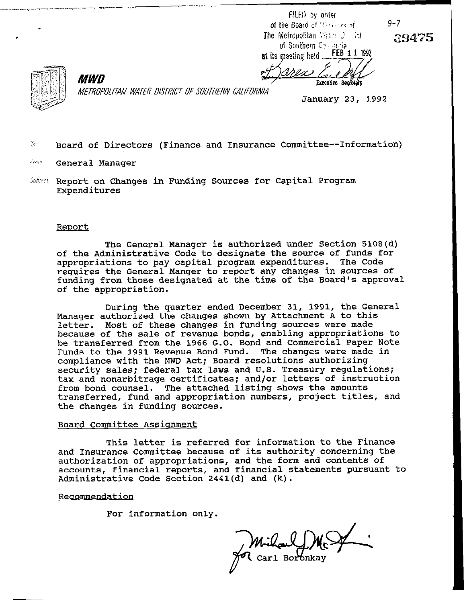FILED by order of the Board of <sup>the co</sup>des of **9-7** The Metropolitan Weter Desiret of Southern Colombia at its meeting held  $FEB^2$  1 1 1992

39475



**MWN** METROPOLITAN WATER DISTRICT OF SOUTHERN CALIFORNIA

, ~\_ci.\_-\_l\_\_\_ y-.-.--..-

January 23, 1992

**Executive Sec** 

 $\hbar$  Board of Directors (Finance and Insurance Committee--Information)

*Fram:* General Manager

Subject. Report on Changes in Funding Sources for Capital Program Expenditures

## Renort

of the Administrative Code to designate the source of funds for The General Manager is authorized under Section 5108(d) appropriations to pay capital program expenditures. The Code requires the General Manger to report any changes in sources of funding from those designated at the time of the Board's approval of the appropriation.

During the quarter ended December 31, 1991, the General Manager authorized the changes shown by Attachment A to this letter. Most of these changes in funding sources were made because of the sale of revenue bonds, enabling appropriations to be transferred from the 1966 G.O. Bond and Commercial Paper Note Funds to the 1991 Revenue Bond Fund. The changes were made in compliance with the MWD Act; Board resolutions authorizing security sales; federal tax laws and U.S. Treasury regulations; tax and nonarbitrage certificates; and/or letters of instruction from bond counsel. The attached listing shows the amounts transferred, fund and appropriation numbers, project titles, and the changes in funding sources.

# Board Committee Assianment

This letter is referred for information to the Finance and Insurance Committee because of its authority concerning the authorization of appropriations, and the form and contents of accounts, financial reports, and financial statements pursuant to Administrative Code Section 2441(d) and (k).

## Recommendation

For information only.

Carl Boronkay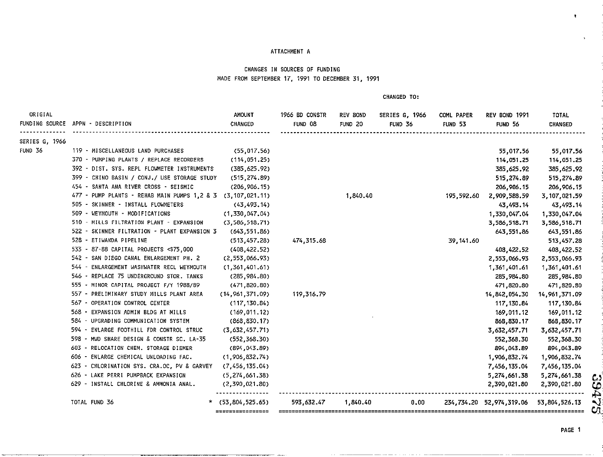### ATTACHMENT A

# CHANGES IN SOURCES OF FUNDING MADE FROM SEPTEMBER 17, 1991 TO DECEMBER 31, 1991

**CHANGED TO:** 

| ORIGIAL<br>FUNDING SOURCE | APPN - DESCRIPTION                                          | AMOUNT<br>CHANGED   | 1966 BD CONSTR<br>FUND 08 | <b>REV BOND</b><br>FUND <sub>20</sub> | <b>SERIES G. 1966</b><br>FUND 36 | <b>COML PAPER</b><br>FUND 53 | REV BOND 1991<br>FUND 56 | TOTAL<br>CHANGED    |
|---------------------------|-------------------------------------------------------------|---------------------|---------------------------|---------------------------------------|----------------------------------|------------------------------|--------------------------|---------------------|
| SERIES G. 1966            |                                                             |                     |                           |                                       |                                  |                              |                          |                     |
| FUND 36                   | 119 - MISCELLANEOUS LAND PURCHASES                          | (55, 017, 56)       |                           |                                       |                                  |                              | 55,017.56                | 55,017.56           |
|                           | 370 - PUMPING PLANTS / REPLACE RECORDERS                    | (114, 051.25)       |                           |                                       |                                  |                              | 114,051.25               | 114,051.25          |
|                           | 392 - DIST. SYS. REPL FLOWMETER INSTRUMENTS                 | (385, 625.92)       |                           |                                       |                                  |                              | 385,625.92               | 385,625.92          |
|                           | 399 - CHINO BASIN / CONJ./ USE STORAGE STUDY                | (515, 274.89)       |                           |                                       |                                  |                              | 515, 274.89              | 515, 274.89         |
|                           | 454 - SANTA ANA RIVER CROSS - SEISMIC                       | (206, 906, 15)      |                           |                                       |                                  |                              | 206, 906, 15             | 206,906.15          |
|                           | 477 - PUMP PLANTS - REHAB MAIN PUMPS 1,2 & 3 (3,107,021.11) |                     |                           | 1,840.40                              |                                  | 195,592.60                   | 2,909,588.59             | 3,107,021.59        |
|                           | 505 - SKINNER - INSTALL FLOWMETERS                          | (43, 493, 14)       |                           |                                       |                                  |                              | 43.493.14                | 43,493.14           |
|                           | 509 - WEYMOUTH - MODIFICATIONS                              | (1, 330, 047, 04)   |                           |                                       |                                  |                              | 1,330,047.04             | 1,330,047.04        |
|                           | 510 - MILLS FILTRATION PLANT - EXPANSION                    | (3, 586, 518, 71)   |                           |                                       |                                  |                              | 3,586,518.71             | 3,586,518.71        |
|                           | 522 - SKINNER FILTRATION - PLANT EXPANSION 3                | (643, 551.86)       |                           |                                       |                                  |                              | 643.551.86               | 643,551.86          |
|                           | 528 - ETIWANDA PIPELINE                                     | (513, 457, 28)      | 474,315.68                |                                       |                                  | 39, 141.60                   |                          | 513,457.28          |
|                           | 533 - 87-88 CAPITAL PROJECTS < \$75,000                     | (408, 422.52)       |                           |                                       |                                  |                              | 408, 422.52              | 408,422.52          |
|                           | 542 - SAN DIEGO CANAL ENLARGEMENT PH. 2                     | (2, 553, 066.93)    |                           |                                       |                                  |                              | 2.553.066.93             | 2,553,066.93        |
|                           | 544 - ENLARGEMENT WASHWATER RECL WEYMOUTH                   | (1, 361, 401.61)    |                           |                                       |                                  |                              | 1,361,401.61             | 1,361,401.61        |
|                           | 546 - REPLACE 75 UNDERGROUND STOR. TANKS                    | (285, 984.80)       |                           |                                       |                                  |                              | 285, 984, 80             | 285,984.80          |
|                           | 555 - MINOR CAPITAL PROJECT F/Y 1988/89                     | (471, 820, 80)      |                           |                                       |                                  |                              | 471,820.80               | 471,820.80          |
|                           | 557 - PRELIMINARY STUDY MILLS PLANT AREA                    | (14, 961, 371.09)   | 119,316.79                |                                       |                                  |                              | 14,842,054.30            | 14,961,371.09       |
|                           | 567 - OPERATION CONTROL CENTER                              | (117, 130.84)       |                           |                                       |                                  |                              | 117, 130, 84             | 117, 130.84         |
|                           | 568 - EXPANSION ADMIN BLDG AT MILLS                         | (169, 011, 12)      |                           |                                       |                                  |                              | 169,011.12               | 169,011.12          |
|                           | 584 - UPGRADING COMMUNICATION SYSTEM                        | (868, 830.17)       |                           |                                       |                                  |                              | 868,830.17               | 868,830.17          |
|                           | 594 - ENLARGE FOOTHILL FDR CONTROL STRUC                    | (3,632,457.71)      |                           |                                       |                                  |                              | 3,632,457.71             | 3,632,457.71        |
|                           | 598 - MWD SHARE DESIGN & CONSTR SC. LA-35                   | (552, 368.30)       |                           |                                       |                                  |                              | 552,368.30               | 552,368.30          |
|                           | RELOCATION CHEM. STORAGE DIEMER<br>603 -                    | (894,043.89)        |                           |                                       |                                  |                              | 894,043.89               | 894,043.89          |
|                           | ENLARGE CHEMICAL UNLOADING FAC.<br>- 606                    | (1,906,832,74)      |                           |                                       |                                  |                              | 1,906,832.74             | 1,906,832.74        |
|                           | - CHLORINATION SYS. CRA.OC, PV & GARVEY<br>623.             | (7,456,135.04)      |                           |                                       |                                  |                              | 7,456,135.04             | 7,456,135.04        |
|                           | 626 - LAKE PERRI PUMPBACK EXPANSION                         | (5, 274, 661, 38)   |                           |                                       |                                  |                              | 5,274,661.38             | 5,274,661.38        |
|                           | 629 - INSTALL CHLORINE & AMMONIA ANAL.                      | (2,390,021.80)      |                           |                                       |                                  |                              | 2,390,021.80             | 2,390,021.80        |
|                           | TOTAL FUND 36                                               | $*$ (53,804,525.65) | 593,632.47                | 1 840 40                              | 0.00                             |                              | 234,734.20 52,974,319.06 | 53,804,526.13<br>Cλ |

PAGE 1

 $\bullet$ 

 $\Delta$ 

**2,390,021.80 g;**